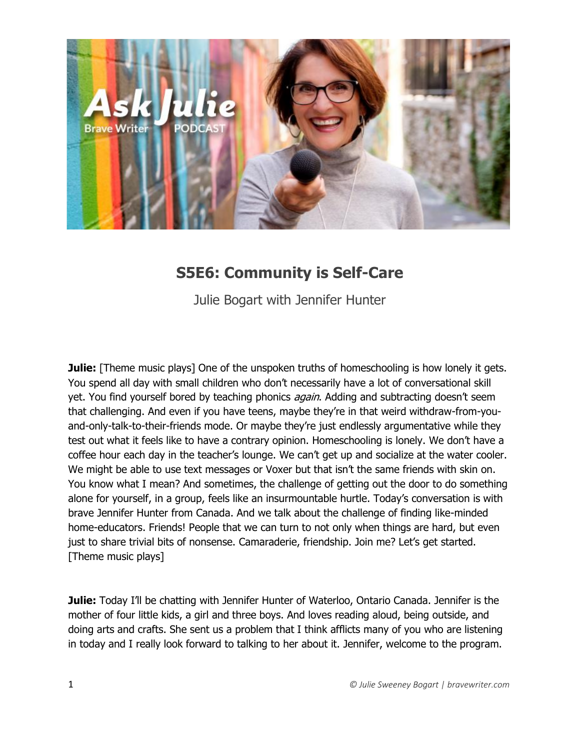

# **S5E6: Community is Self-Care**

Julie Bogart with Jennifer Hunter

**Julie:** [Theme music plays] One of the unspoken truths of homeschooling is how lonely it gets. You spend all day with small children who don't necessarily have a lot of conversational skill yet. You find yourself bored by teaching phonics *again*. Adding and subtracting doesn't seem that challenging. And even if you have teens, maybe they're in that weird withdraw-from-youand-only-talk-to-their-friends mode. Or maybe they're just endlessly argumentative while they test out what it feels like to have a contrary opinion. Homeschooling is lonely. We don't have a coffee hour each day in the teacher's lounge. We can't get up and socialize at the water cooler. We might be able to use text messages or Voxer but that isn't the same friends with skin on. You know what I mean? And sometimes, the challenge of getting out the door to do something alone for yourself, in a group, feels like an insurmountable hurtle. Today's conversation is with brave Jennifer Hunter from Canada. And we talk about the challenge of finding like-minded home-educators. Friends! People that we can turn to not only when things are hard, but even just to share trivial bits of nonsense. Camaraderie, friendship. Join me? Let's get started. [Theme music plays]

**Julie:** Today I'll be chatting with Jennifer Hunter of Waterloo, Ontario Canada. Jennifer is the mother of four little kids, a girl and three boys. And loves reading aloud, being outside, and doing arts and crafts. She sent us a problem that I think afflicts many of you who are listening in today and I really look forward to talking to her about it. Jennifer, welcome to the program.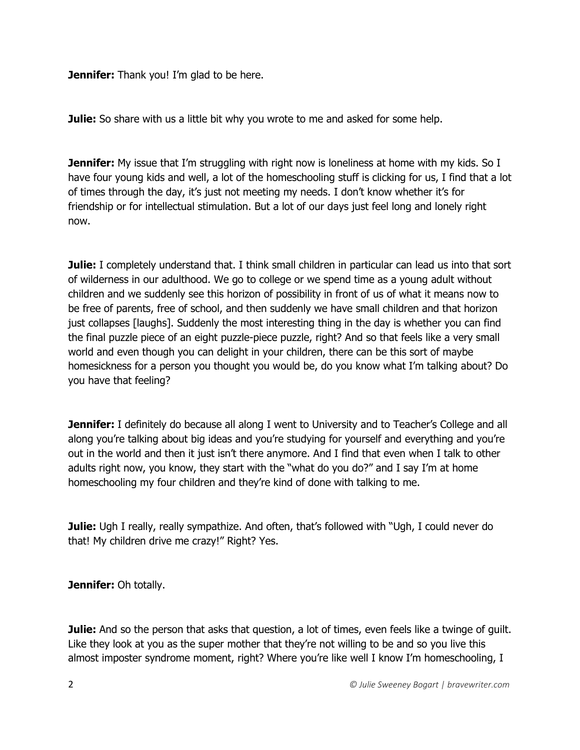**Jennifer:** Thank you! I'm glad to be here.

**Julie:** So share with us a little bit why you wrote to me and asked for some help.

**Jennifer:** My issue that I'm struggling with right now is loneliness at home with my kids. So I have four young kids and well, a lot of the homeschooling stuff is clicking for us, I find that a lot of times through the day, it's just not meeting my needs. I don't know whether it's for friendship or for intellectual stimulation. But a lot of our days just feel long and lonely right now.

**Julie:** I completely understand that. I think small children in particular can lead us into that sort of wilderness in our adulthood. We go to college or we spend time as a young adult without children and we suddenly see this horizon of possibility in front of us of what it means now to be free of parents, free of school, and then suddenly we have small children and that horizon just collapses [laughs]. Suddenly the most interesting thing in the day is whether you can find the final puzzle piece of an eight puzzle-piece puzzle, right? And so that feels like a very small world and even though you can delight in your children, there can be this sort of maybe homesickness for a person you thought you would be, do you know what I'm talking about? Do you have that feeling?

**Jennifer:** I definitely do because all along I went to University and to Teacher's College and all along you're talking about big ideas and you're studying for yourself and everything and you're out in the world and then it just isn't there anymore. And I find that even when I talk to other adults right now, you know, they start with the "what do you do?" and I say I'm at home homeschooling my four children and they're kind of done with talking to me.

**Julie:** Ugh I really, really sympathize. And often, that's followed with "Ugh, I could never do that! My children drive me crazy!" Right? Yes.

**Jennifer:** Oh totally.

**Julie:** And so the person that asks that question, a lot of times, even feels like a twinge of guilt. Like they look at you as the super mother that they're not willing to be and so you live this almost imposter syndrome moment, right? Where you're like well I know I'm homeschooling, I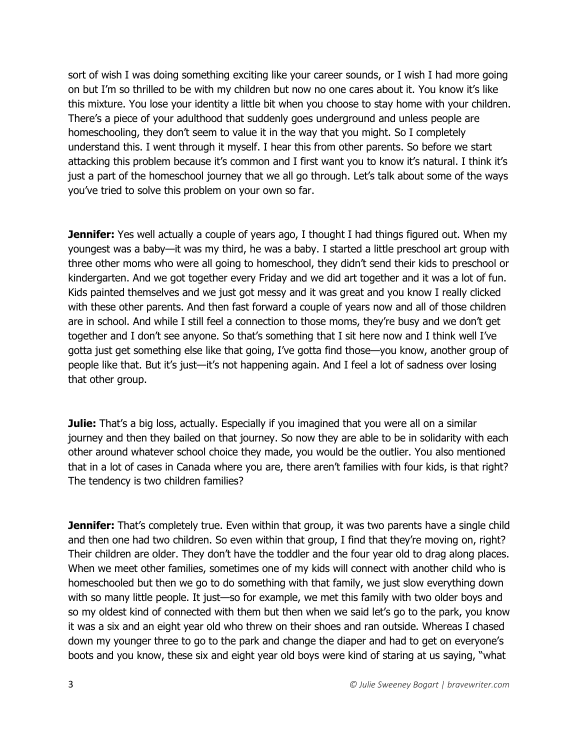sort of wish I was doing something exciting like your career sounds, or I wish I had more going on but I'm so thrilled to be with my children but now no one cares about it. You know it's like this mixture. You lose your identity a little bit when you choose to stay home with your children. There's a piece of your adulthood that suddenly goes underground and unless people are homeschooling, they don't seem to value it in the way that you might. So I completely understand this. I went through it myself. I hear this from other parents. So before we start attacking this problem because it's common and I first want you to know it's natural. I think it's just a part of the homeschool journey that we all go through. Let's talk about some of the ways you've tried to solve this problem on your own so far.

**Jennifer:** Yes well actually a couple of years ago, I thought I had things figured out. When my youngest was a baby—it was my third, he was a baby. I started a little preschool art group with three other moms who were all going to homeschool, they didn't send their kids to preschool or kindergarten. And we got together every Friday and we did art together and it was a lot of fun. Kids painted themselves and we just got messy and it was great and you know I really clicked with these other parents. And then fast forward a couple of years now and all of those children are in school. And while I still feel a connection to those moms, they're busy and we don't get together and I don't see anyone. So that's something that I sit here now and I think well I've gotta just get something else like that going, I've gotta find those—you know, another group of people like that. But it's just—it's not happening again. And I feel a lot of sadness over losing that other group.

**Julie:** That's a big loss, actually. Especially if you imagined that you were all on a similar journey and then they bailed on that journey. So now they are able to be in solidarity with each other around whatever school choice they made, you would be the outlier. You also mentioned that in a lot of cases in Canada where you are, there aren't families with four kids, is that right? The tendency is two children families?

**Jennifer:** That's completely true. Even within that group, it was two parents have a single child and then one had two children. So even within that group, I find that they're moving on, right? Their children are older. They don't have the toddler and the four year old to drag along places. When we meet other families, sometimes one of my kids will connect with another child who is homeschooled but then we go to do something with that family, we just slow everything down with so many little people. It just—so for example, we met this family with two older boys and so my oldest kind of connected with them but then when we said let's go to the park, you know it was a six and an eight year old who threw on their shoes and ran outside. Whereas I chased down my younger three to go to the park and change the diaper and had to get on everyone's boots and you know, these six and eight year old boys were kind of staring at us saying, "what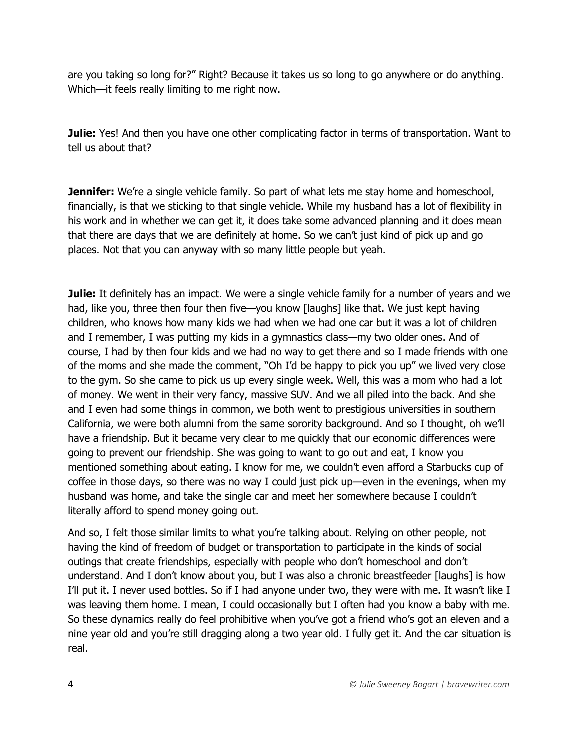are you taking so long for?" Right? Because it takes us so long to go anywhere or do anything. Which—it feels really limiting to me right now.

**Julie:** Yes! And then you have one other complicating factor in terms of transportation. Want to tell us about that?

**Jennifer:** We're a single vehicle family. So part of what lets me stay home and homeschool, financially, is that we sticking to that single vehicle. While my husband has a lot of flexibility in his work and in whether we can get it, it does take some advanced planning and it does mean that there are days that we are definitely at home. So we can't just kind of pick up and go places. Not that you can anyway with so many little people but yeah.

**Julie:** It definitely has an impact. We were a single vehicle family for a number of years and we had, like you, three then four then five—you know [laughs] like that. We just kept having children, who knows how many kids we had when we had one car but it was a lot of children and I remember, I was putting my kids in a gymnastics class—my two older ones. And of course, I had by then four kids and we had no way to get there and so I made friends with one of the moms and she made the comment, "Oh I'd be happy to pick you up" we lived very close to the gym. So she came to pick us up every single week. Well, this was a mom who had a lot of money. We went in their very fancy, massive SUV. And we all piled into the back. And she and I even had some things in common, we both went to prestigious universities in southern California, we were both alumni from the same sorority background. And so I thought, oh we'll have a friendship. But it became very clear to me quickly that our economic differences were going to prevent our friendship. She was going to want to go out and eat, I know you mentioned something about eating. I know for me, we couldn't even afford a Starbucks cup of coffee in those days, so there was no way I could just pick up—even in the evenings, when my husband was home, and take the single car and meet her somewhere because I couldn't literally afford to spend money going out.

And so, I felt those similar limits to what you're talking about. Relying on other people, not having the kind of freedom of budget or transportation to participate in the kinds of social outings that create friendships, especially with people who don't homeschool and don't understand. And I don't know about you, but I was also a chronic breastfeeder [laughs] is how I'll put it. I never used bottles. So if I had anyone under two, they were with me. It wasn't like I was leaving them home. I mean, I could occasionally but I often had you know a baby with me. So these dynamics really do feel prohibitive when you've got a friend who's got an eleven and a nine year old and you're still dragging along a two year old. I fully get it. And the car situation is real.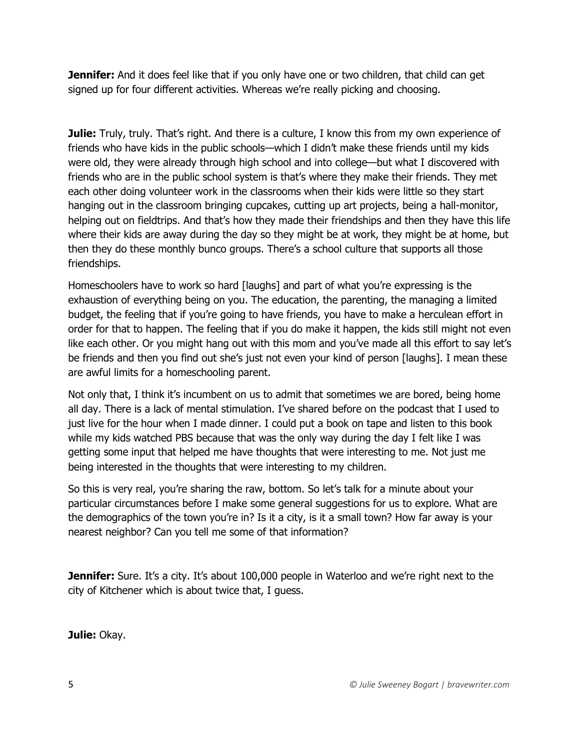**Jennifer:** And it does feel like that if you only have one or two children, that child can get signed up for four different activities. Whereas we're really picking and choosing.

**Julie:** Truly, truly. That's right. And there is a culture, I know this from my own experience of friends who have kids in the public schools—which I didn't make these friends until my kids were old, they were already through high school and into college—but what I discovered with friends who are in the public school system is that's where they make their friends. They met each other doing volunteer work in the classrooms when their kids were little so they start hanging out in the classroom bringing cupcakes, cutting up art projects, being a hall-monitor, helping out on fieldtrips. And that's how they made their friendships and then they have this life where their kids are away during the day so they might be at work, they might be at home, but then they do these monthly bunco groups. There's a school culture that supports all those friendships.

Homeschoolers have to work so hard [laughs] and part of what you're expressing is the exhaustion of everything being on you. The education, the parenting, the managing a limited budget, the feeling that if you're going to have friends, you have to make a herculean effort in order for that to happen. The feeling that if you do make it happen, the kids still might not even like each other. Or you might hang out with this mom and you've made all this effort to say let's be friends and then you find out she's just not even your kind of person [laughs]. I mean these are awful limits for a homeschooling parent.

Not only that, I think it's incumbent on us to admit that sometimes we are bored, being home all day. There is a lack of mental stimulation. I've shared before on the podcast that I used to just live for the hour when I made dinner. I could put a book on tape and listen to this book while my kids watched PBS because that was the only way during the day I felt like I was getting some input that helped me have thoughts that were interesting to me. Not just me being interested in the thoughts that were interesting to my children.

So this is very real, you're sharing the raw, bottom. So let's talk for a minute about your particular circumstances before I make some general suggestions for us to explore. What are the demographics of the town you're in? Is it a city, is it a small town? How far away is your nearest neighbor? Can you tell me some of that information?

**Jennifer:** Sure. It's a city. It's about 100,000 people in Waterloo and we're right next to the city of Kitchener which is about twice that, I guess.

**Julie:** Okay.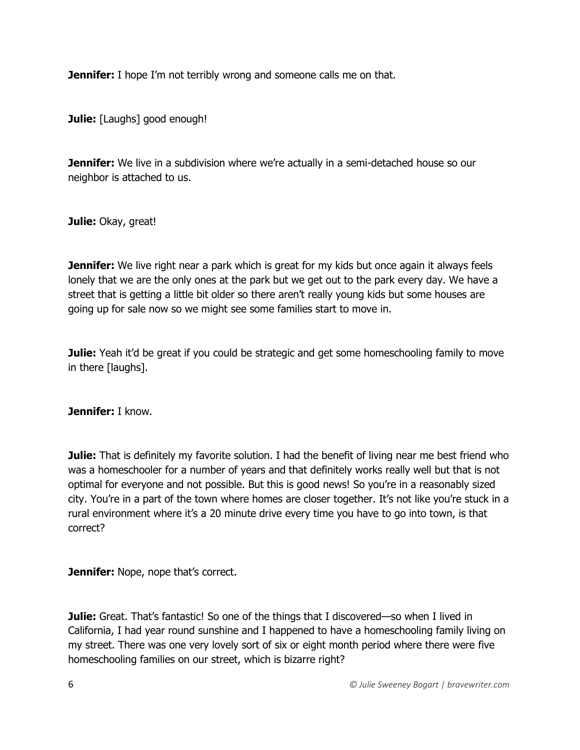**Jennifer:** I hope I'm not terribly wrong and someone calls me on that.

**Julie:** [Laughs] good enough!

**Jennifer:** We live in a subdivision where we're actually in a semi-detached house so our neighbor is attached to us.

**Julie:** Okay, great!

**Jennifer:** We live right near a park which is great for my kids but once again it always feels lonely that we are the only ones at the park but we get out to the park every day. We have a street that is getting a little bit older so there aren't really young kids but some houses are going up for sale now so we might see some families start to move in.

**Julie:** Yeah it'd be great if you could be strategic and get some homeschooling family to move in there [laughs].

**Jennifer:** I know.

**Julie:** That is definitely my favorite solution. I had the benefit of living near me best friend who was a homeschooler for a number of years and that definitely works really well but that is not optimal for everyone and not possible. But this is good news! So you're in a reasonably sized city. You're in a part of the town where homes are closer together. It's not like you're stuck in a rural environment where it's a 20 minute drive every time you have to go into town, is that correct?

**Jennifer:** Nope, nope that's correct.

**Julie:** Great. That's fantastic! So one of the things that I discovered—so when I lived in California, I had year round sunshine and I happened to have a homeschooling family living on my street. There was one very lovely sort of six or eight month period where there were five homeschooling families on our street, which is bizarre right?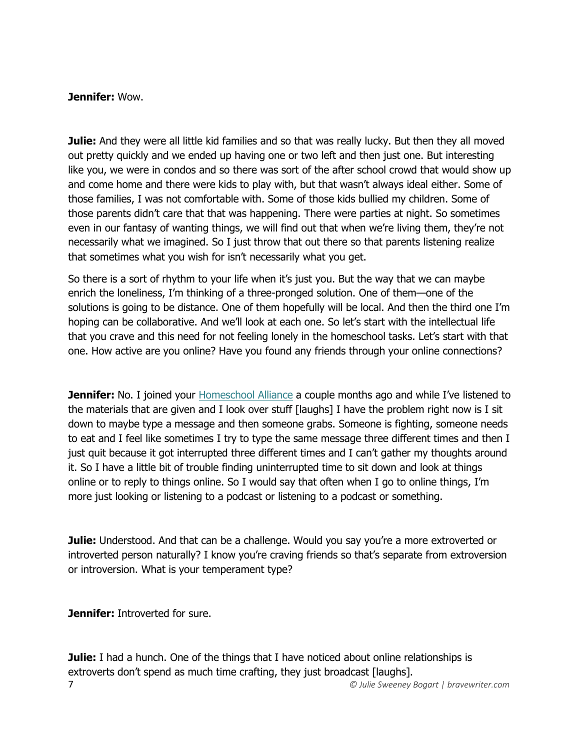### **Jennifer:** Wow.

**Julie:** And they were all little kid families and so that was really lucky. But then they all moved out pretty quickly and we ended up having one or two left and then just one. But interesting like you, we were in condos and so there was sort of the after school crowd that would show up and come home and there were kids to play with, but that wasn't always ideal either. Some of those families, I was not comfortable with. Some of those kids bullied my children. Some of those parents didn't care that that was happening. There were parties at night. So sometimes even in our fantasy of wanting things, we will find out that when we're living them, they're not necessarily what we imagined. So I just throw that out there so that parents listening realize that sometimes what you wish for isn't necessarily what you get.

So there is a sort of rhythm to your life when it's just you. But the way that we can maybe enrich the loneliness, I'm thinking of a three-pronged solution. One of them—one of the solutions is going to be distance. One of them hopefully will be local. And then the third one I'm hoping can be collaborative. And we'll look at each one. So let's start with the intellectual life that you crave and this need for not feeling lonely in the homeschool tasks. Let's start with that one. How active are you online? Have you found any friends through your online connections?

**Jennifer:** No. I joined your **Homeschool Alliance** a couple months ago and while I've listened to the materials that are given and I look over stuff [laughs] I have the problem right now is I sit down to maybe type a message and then someone grabs. Someone is fighting, someone needs to eat and I feel like sometimes I try to type the same message three different times and then I just quit because it got interrupted three different times and I can't gather my thoughts around it. So I have a little bit of trouble finding uninterrupted time to sit down and look at things online or to reply to things online. So I would say that often when I go to online things, I'm more just looking or listening to a podcast or listening to a podcast or something.

**Julie:** Understood. And that can be a challenge. Would you say you're a more extroverted or introverted person naturally? I know you're craving friends so that's separate from extroversion or introversion. What is your temperament type?

**Jennifer:** Introverted for sure.

7 *© Julie Sweeney Bogart | bravewriter.com* **Julie:** I had a hunch. One of the things that I have noticed about online relationships is extroverts don't spend as much time crafting, they just broadcast [laughs].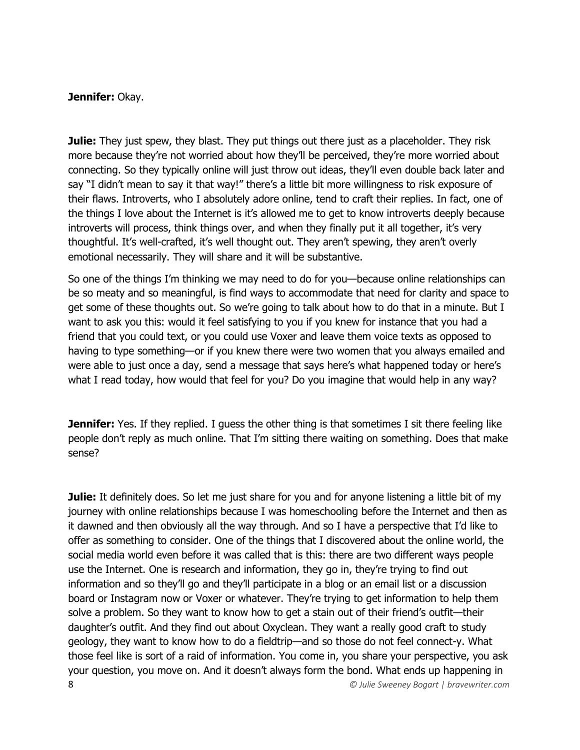### **Jennifer:** Okay.

**Julie:** They just spew, they blast. They put things out there just as a placeholder. They risk more because they're not worried about how they'll be perceived, they're more worried about connecting. So they typically online will just throw out ideas, they'll even double back later and say "I didn't mean to say it that way!" there's a little bit more willingness to risk exposure of their flaws. Introverts, who I absolutely adore online, tend to craft their replies. In fact, one of the things I love about the Internet is it's allowed me to get to know introverts deeply because introverts will process, think things over, and when they finally put it all together, it's very thoughtful. It's well-crafted, it's well thought out. They aren't spewing, they aren't overly emotional necessarily. They will share and it will be substantive.

So one of the things I'm thinking we may need to do for you—because online relationships can be so meaty and so meaningful, is find ways to accommodate that need for clarity and space to get some of these thoughts out. So we're going to talk about how to do that in a minute. But I want to ask you this: would it feel satisfying to you if you knew for instance that you had a friend that you could text, or you could use Voxer and leave them voice texts as opposed to having to type something—or if you knew there were two women that you always emailed and were able to just once a day, send a message that says here's what happened today or here's what I read today, how would that feel for you? Do you imagine that would help in any way?

**Jennifer:** Yes. If they replied. I quess the other thing is that sometimes I sit there feeling like people don't reply as much online. That I'm sitting there waiting on something. Does that make sense?

8 *© Julie Sweeney Bogart | bravewriter.com* **Julie:** It definitely does. So let me just share for you and for anyone listening a little bit of my journey with online relationships because I was homeschooling before the Internet and then as it dawned and then obviously all the way through. And so I have a perspective that I'd like to offer as something to consider. One of the things that I discovered about the online world, the social media world even before it was called that is this: there are two different ways people use the Internet. One is research and information, they go in, they're trying to find out information and so they'll go and they'll participate in a blog or an email list or a discussion board or Instagram now or Voxer or whatever. They're trying to get information to help them solve a problem. So they want to know how to get a stain out of their friend's outfit—their daughter's outfit. And they find out about Oxyclean. They want a really good craft to study geology, they want to know how to do a fieldtrip—and so those do not feel connect-y. What those feel like is sort of a raid of information. You come in, you share your perspective, you ask your question, you move on. And it doesn't always form the bond. What ends up happening in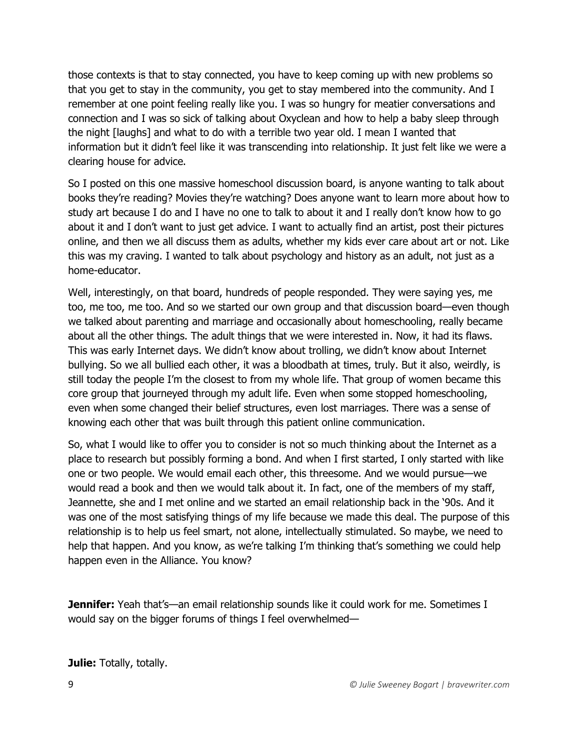those contexts is that to stay connected, you have to keep coming up with new problems so that you get to stay in the community, you get to stay membered into the community. And I remember at one point feeling really like you. I was so hungry for meatier conversations and connection and I was so sick of talking about Oxyclean and how to help a baby sleep through the night [laughs] and what to do with a terrible two year old. I mean I wanted that information but it didn't feel like it was transcending into relationship. It just felt like we were a clearing house for advice.

So I posted on this one massive homeschool discussion board, is anyone wanting to talk about books they're reading? Movies they're watching? Does anyone want to learn more about how to study art because I do and I have no one to talk to about it and I really don't know how to go about it and I don't want to just get advice. I want to actually find an artist, post their pictures online, and then we all discuss them as adults, whether my kids ever care about art or not. Like this was my craving. I wanted to talk about psychology and history as an adult, not just as a home-educator.

Well, interestingly, on that board, hundreds of people responded. They were saying yes, me too, me too, me too. And so we started our own group and that discussion board—even though we talked about parenting and marriage and occasionally about homeschooling, really became about all the other things. The adult things that we were interested in. Now, it had its flaws. This was early Internet days. We didn't know about trolling, we didn't know about Internet bullying. So we all bullied each other, it was a bloodbath at times, truly. But it also, weirdly, is still today the people I'm the closest to from my whole life. That group of women became this core group that journeyed through my adult life. Even when some stopped homeschooling, even when some changed their belief structures, even lost marriages. There was a sense of knowing each other that was built through this patient online communication.

So, what I would like to offer you to consider is not so much thinking about the Internet as a place to research but possibly forming a bond. And when I first started, I only started with like one or two people. We would email each other, this threesome. And we would pursue—we would read a book and then we would talk about it. In fact, one of the members of my staff, Jeannette, she and I met online and we started an email relationship back in the '90s. And it was one of the most satisfying things of my life because we made this deal. The purpose of this relationship is to help us feel smart, not alone, intellectually stimulated. So maybe, we need to help that happen. And you know, as we're talking I'm thinking that's something we could help happen even in the Alliance. You know?

**Jennifer:** Yeah that's—an email relationship sounds like it could work for me. Sometimes I would say on the bigger forums of things I feel overwhelmed—

**Julie:** Totally, totally.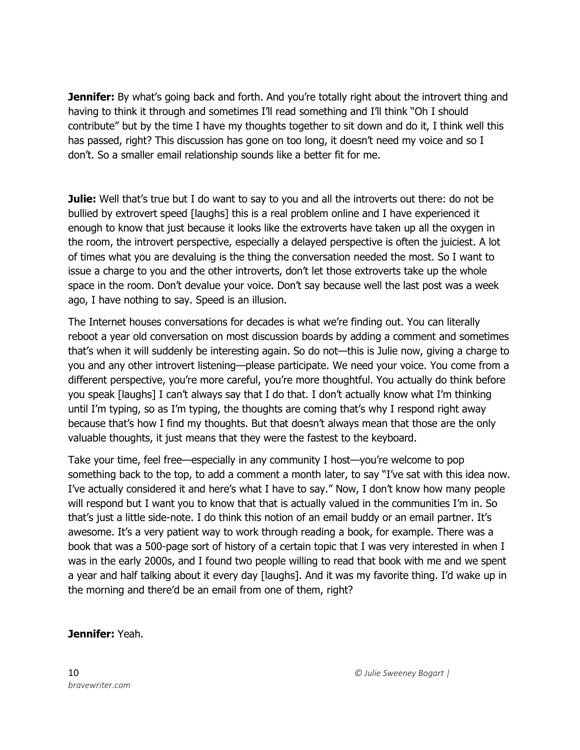**Jennifer:** By what's going back and forth. And you're totally right about the introvert thing and having to think it through and sometimes I'll read something and I'll think "Oh I should contribute" but by the time I have my thoughts together to sit down and do it, I think well this has passed, right? This discussion has gone on too long, it doesn't need my voice and so I don't. So a smaller email relationship sounds like a better fit for me.

**Julie:** Well that's true but I do want to say to you and all the introverts out there: do not be bullied by extrovert speed [laughs] this is a real problem online and I have experienced it enough to know that just because it looks like the extroverts have taken up all the oxygen in the room, the introvert perspective, especially a delayed perspective is often the juiciest. A lot of times what you are devaluing is the thing the conversation needed the most. So I want to issue a charge to you and the other introverts, don't let those extroverts take up the whole space in the room. Don't devalue your voice. Don't say because well the last post was a week ago, I have nothing to say. Speed is an illusion.

The Internet houses conversations for decades is what we're finding out. You can literally reboot a year old conversation on most discussion boards by adding a comment and sometimes that's when it will suddenly be interesting again. So do not—this is Julie now, giving a charge to you and any other introvert listening—please participate. We need your voice. You come from a different perspective, you're more careful, you're more thoughtful. You actually do think before you speak [laughs] I can't always say that I do that. I don't actually know what I'm thinking until I'm typing, so as I'm typing, the thoughts are coming that's why I respond right away because that's how I find my thoughts. But that doesn't always mean that those are the only valuable thoughts, it just means that they were the fastest to the keyboard.

Take your time, feel free—especially in any community I host—you're welcome to pop something back to the top, to add a comment a month later, to say "I've sat with this idea now. I've actually considered it and here's what I have to say." Now, I don't know how many people will respond but I want you to know that that is actually valued in the communities I'm in. So that's just a little side-note. I do think this notion of an email buddy or an email partner. It's awesome. It's a very patient way to work through reading a book, for example. There was a book that was a 500-page sort of history of a certain topic that I was very interested in when I was in the early 2000s, and I found two people willing to read that book with me and we spent a year and half talking about it every day [laughs]. And it was my favorite thing. I'd wake up in the morning and there'd be an email from one of them, right?

### **Jennifer:** Yeah.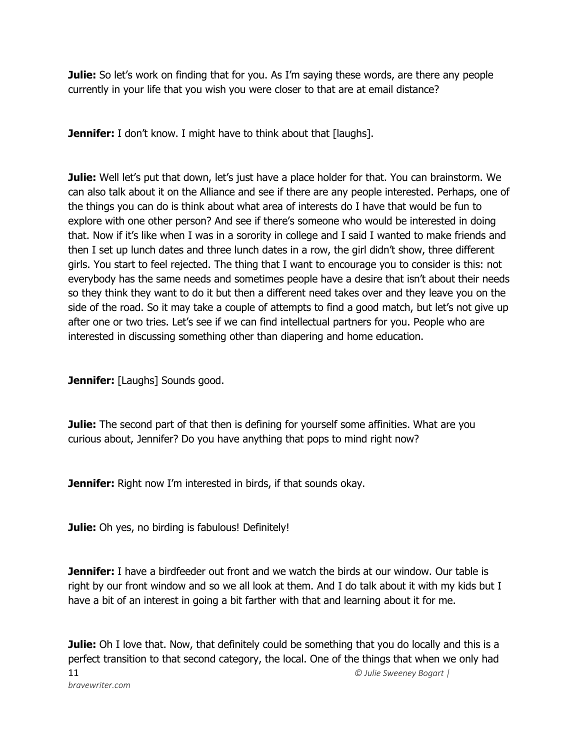**Julie:** So let's work on finding that for you. As I'm saying these words, are there any people currently in your life that you wish you were closer to that are at email distance?

**Jennifer:** I don't know. I might have to think about that [laughs].

**Julie:** Well let's put that down, let's just have a place holder for that. You can brainstorm. We can also talk about it on the Alliance and see if there are any people interested. Perhaps, one of the things you can do is think about what area of interests do I have that would be fun to explore with one other person? And see if there's someone who would be interested in doing that. Now if it's like when I was in a sorority in college and I said I wanted to make friends and then I set up lunch dates and three lunch dates in a row, the girl didn't show, three different girls. You start to feel rejected. The thing that I want to encourage you to consider is this: not everybody has the same needs and sometimes people have a desire that isn't about their needs so they think they want to do it but then a different need takes over and they leave you on the side of the road. So it may take a couple of attempts to find a good match, but let's not give up after one or two tries. Let's see if we can find intellectual partners for you. People who are interested in discussing something other than diapering and home education.

**Jennifer:** [Laughs] Sounds good.

**Julie:** The second part of that then is defining for yourself some affinities. What are you curious about, Jennifer? Do you have anything that pops to mind right now?

**Jennifer:** Right now I'm interested in birds, if that sounds okay.

**Julie:** Oh yes, no birding is fabulous! Definitely!

**Jennifer:** I have a birdfeeder out front and we watch the birds at our window. Our table is right by our front window and so we all look at them. And I do talk about it with my kids but I have a bit of an interest in going a bit farther with that and learning about it for me.

11 *© Julie Sweeney Bogart | bravewriter.com* **Julie:** Oh I love that. Now, that definitely could be something that you do locally and this is a perfect transition to that second category, the local. One of the things that when we only had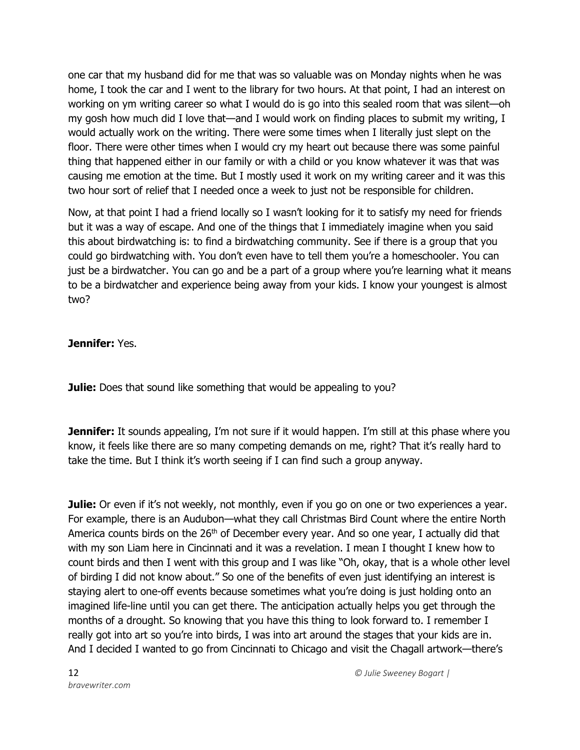one car that my husband did for me that was so valuable was on Monday nights when he was home, I took the car and I went to the library for two hours. At that point, I had an interest on working on ym writing career so what I would do is go into this sealed room that was silent—oh my gosh how much did I love that—and I would work on finding places to submit my writing, I would actually work on the writing. There were some times when I literally just slept on the floor. There were other times when I would cry my heart out because there was some painful thing that happened either in our family or with a child or you know whatever it was that was causing me emotion at the time. But I mostly used it work on my writing career and it was this two hour sort of relief that I needed once a week to just not be responsible for children.

Now, at that point I had a friend locally so I wasn't looking for it to satisfy my need for friends but it was a way of escape. And one of the things that I immediately imagine when you said this about birdwatching is: to find a birdwatching community. See if there is a group that you could go birdwatching with. You don't even have to tell them you're a homeschooler. You can just be a birdwatcher. You can go and be a part of a group where you're learning what it means to be a birdwatcher and experience being away from your kids. I know your youngest is almost two?

**Jennifer:** Yes.

**Julie:** Does that sound like something that would be appealing to you?

**Jennifer:** It sounds appealing, I'm not sure if it would happen. I'm still at this phase where you know, it feels like there are so many competing demands on me, right? That it's really hard to take the time. But I think it's worth seeing if I can find such a group anyway.

**Julie:** Or even if it's not weekly, not monthly, even if you go on one or two experiences a year. For example, there is an Audubon—what they call Christmas Bird Count where the entire North America counts birds on the 26<sup>th</sup> of December every year. And so one year, I actually did that with my son Liam here in Cincinnati and it was a revelation. I mean I thought I knew how to count birds and then I went with this group and I was like "Oh, okay, that is a whole other level of birding I did not know about." So one of the benefits of even just identifying an interest is staying alert to one-off events because sometimes what you're doing is just holding onto an imagined life-line until you can get there. The anticipation actually helps you get through the months of a drought. So knowing that you have this thing to look forward to. I remember I really got into art so you're into birds, I was into art around the stages that your kids are in. And I decided I wanted to go from Cincinnati to Chicago and visit the Chagall artwork—there's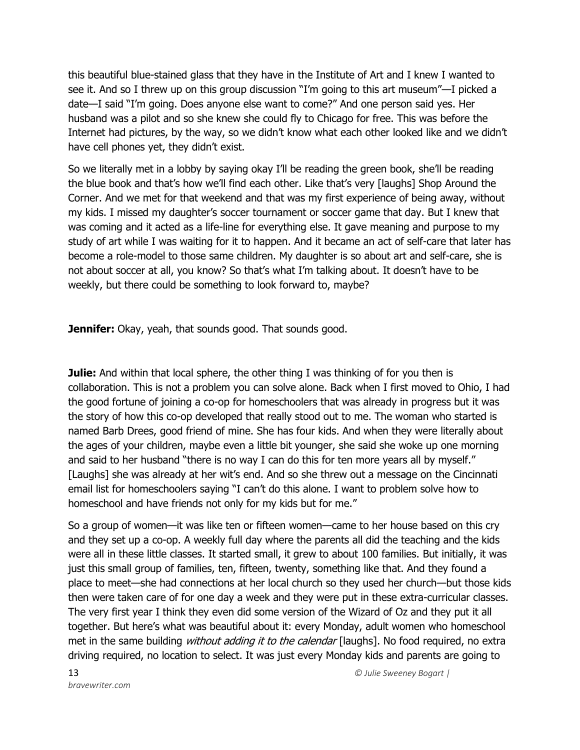this beautiful blue-stained glass that they have in the Institute of Art and I knew I wanted to see it. And so I threw up on this group discussion "I'm going to this art museum"—I picked a date—I said "I'm going. Does anyone else want to come?" And one person said yes. Her husband was a pilot and so she knew she could fly to Chicago for free. This was before the Internet had pictures, by the way, so we didn't know what each other looked like and we didn't have cell phones yet, they didn't exist.

So we literally met in a lobby by saying okay I'll be reading the green book, she'll be reading the blue book and that's how we'll find each other. Like that's very [laughs] Shop Around the Corner. And we met for that weekend and that was my first experience of being away, without my kids. I missed my daughter's soccer tournament or soccer game that day. But I knew that was coming and it acted as a life-line for everything else. It gave meaning and purpose to my study of art while I was waiting for it to happen. And it became an act of self-care that later has become a role-model to those same children. My daughter is so about art and self-care, she is not about soccer at all, you know? So that's what I'm talking about. It doesn't have to be weekly, but there could be something to look forward to, maybe?

**Jennifer:** Okay, yeah, that sounds good. That sounds good.

**Julie:** And within that local sphere, the other thing I was thinking of for you then is collaboration. This is not a problem you can solve alone. Back when I first moved to Ohio, I had the good fortune of joining a co-op for homeschoolers that was already in progress but it was the story of how this co-op developed that really stood out to me. The woman who started is named Barb Drees, good friend of mine. She has four kids. And when they were literally about the ages of your children, maybe even a little bit younger, she said she woke up one morning and said to her husband "there is no way I can do this for ten more years all by myself." [Laughs] she was already at her wit's end. And so she threw out a message on the Cincinnati email list for homeschoolers saying "I can't do this alone. I want to problem solve how to homeschool and have friends not only for my kids but for me."

So a group of women—it was like ten or fifteen women—came to her house based on this cry and they set up a co-op. A weekly full day where the parents all did the teaching and the kids were all in these little classes. It started small, it grew to about 100 families. But initially, it was just this small group of families, ten, fifteen, twenty, something like that. And they found a place to meet—she had connections at her local church so they used her church—but those kids then were taken care of for one day a week and they were put in these extra-curricular classes. The very first year I think they even did some version of the Wizard of Oz and they put it all together. But here's what was beautiful about it: every Monday, adult women who homeschool met in the same building *without adding it to the calendar* [laughs]. No food required, no extra driving required, no location to select. It was just every Monday kids and parents are going to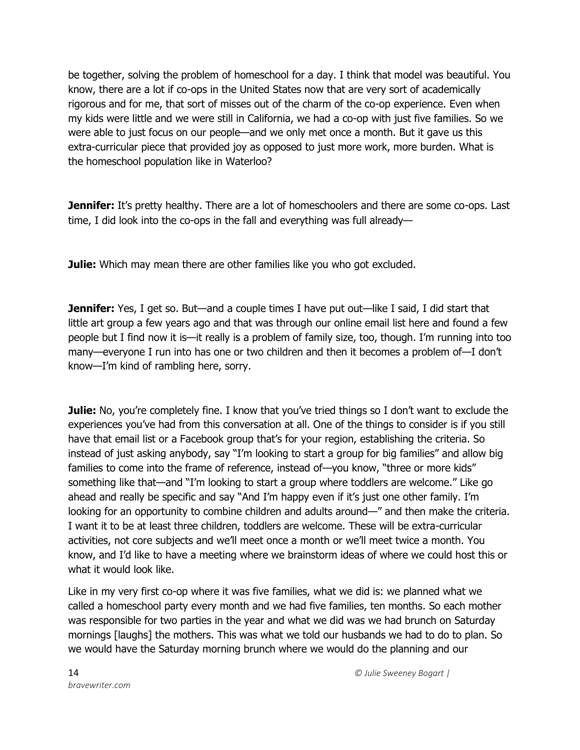be together, solving the problem of homeschool for a day. I think that model was beautiful. You know, there are a lot if co-ops in the United States now that are very sort of academically rigorous and for me, that sort of misses out of the charm of the co-op experience. Even when my kids were little and we were still in California, we had a co-op with just five families. So we were able to just focus on our people—and we only met once a month. But it gave us this extra-curricular piece that provided joy as opposed to just more work, more burden. What is the homeschool population like in Waterloo?

**Jennifer:** It's pretty healthy. There are a lot of homeschoolers and there are some co-ops. Last time, I did look into the co-ops in the fall and everything was full already—

**Julie:** Which may mean there are other families like you who got excluded.

**Jennifer:** Yes, I get so. But—and a couple times I have put out—like I said, I did start that little art group a few years ago and that was through our online email list here and found a few people but I find now it is—it really is a problem of family size, too, though. I'm running into too many—everyone I run into has one or two children and then it becomes a problem of—I don't know—I'm kind of rambling here, sorry.

**Julie:** No, you're completely fine. I know that you've tried things so I don't want to exclude the experiences you've had from this conversation at all. One of the things to consider is if you still have that email list or a Facebook group that's for your region, establishing the criteria. So instead of just asking anybody, say "I'm looking to start a group for big families" and allow big families to come into the frame of reference, instead of—you know, "three or more kids" something like that—and "I'm looking to start a group where toddlers are welcome." Like go ahead and really be specific and say "And I'm happy even if it's just one other family. I'm looking for an opportunity to combine children and adults around—" and then make the criteria. I want it to be at least three children, toddlers are welcome. These will be extra-curricular activities, not core subjects and we'll meet once a month or we'll meet twice a month. You know, and I'd like to have a meeting where we brainstorm ideas of where we could host this or what it would look like.

Like in my very first co-op where it was five families, what we did is: we planned what we called a homeschool party every month and we had five families, ten months. So each mother was responsible for two parties in the year and what we did was we had brunch on Saturday mornings [laughs] the mothers. This was what we told our husbands we had to do to plan. So we would have the Saturday morning brunch where we would do the planning and our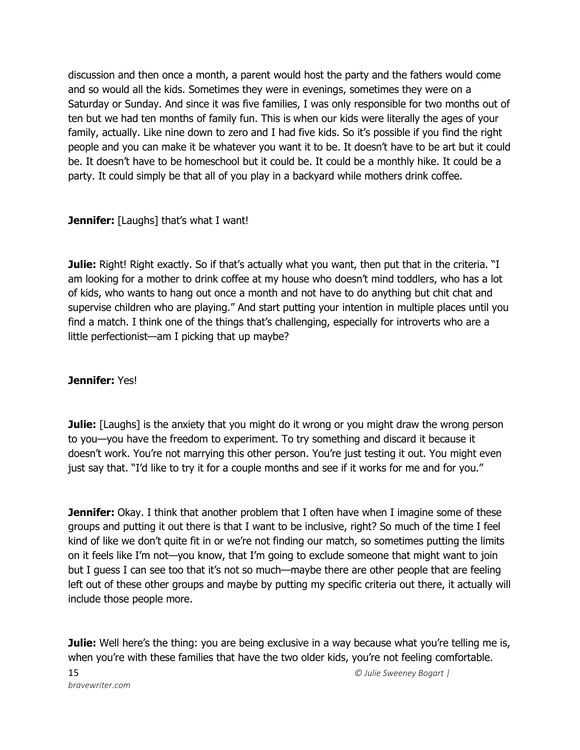discussion and then once a month, a parent would host the party and the fathers would come and so would all the kids. Sometimes they were in evenings, sometimes they were on a Saturday or Sunday. And since it was five families, I was only responsible for two months out of ten but we had ten months of family fun. This is when our kids were literally the ages of your family, actually. Like nine down to zero and I had five kids. So it's possible if you find the right people and you can make it be whatever you want it to be. It doesn't have to be art but it could be. It doesn't have to be homeschool but it could be. It could be a monthly hike. It could be a party. It could simply be that all of you play in a backyard while mothers drink coffee.

**Jennifer:** [Laughs] that's what I want!

**Julie:** Right! Right exactly. So if that's actually what you want, then put that in the criteria. "I am looking for a mother to drink coffee at my house who doesn't mind toddlers, who has a lot of kids, who wants to hang out once a month and not have to do anything but chit chat and supervise children who are playing." And start putting your intention in multiple places until you find a match. I think one of the things that's challenging, especially for introverts who are a little perfectionist—am I picking that up maybe?

## **Jennifer:** Yes!

**Julie:** [Laughs] is the anxiety that you might do it wrong or you might draw the wrong person to you—you have the freedom to experiment. To try something and discard it because it doesn't work. You're not marrying this other person. You're just testing it out. You might even just say that. "I'd like to try it for a couple months and see if it works for me and for you."

**Jennifer:** Okay. I think that another problem that I often have when I imagine some of these groups and putting it out there is that I want to be inclusive, right? So much of the time I feel kind of like we don't quite fit in or we're not finding our match, so sometimes putting the limits on it feels like I'm not—you know, that I'm going to exclude someone that might want to join but I guess I can see too that it's not so much—maybe there are other people that are feeling left out of these other groups and maybe by putting my specific criteria out there, it actually will include those people more.

**Julie:** Well here's the thing: you are being exclusive in a way because what you're telling me is, when you're with these families that have the two older kids, you're not feeling comfortable.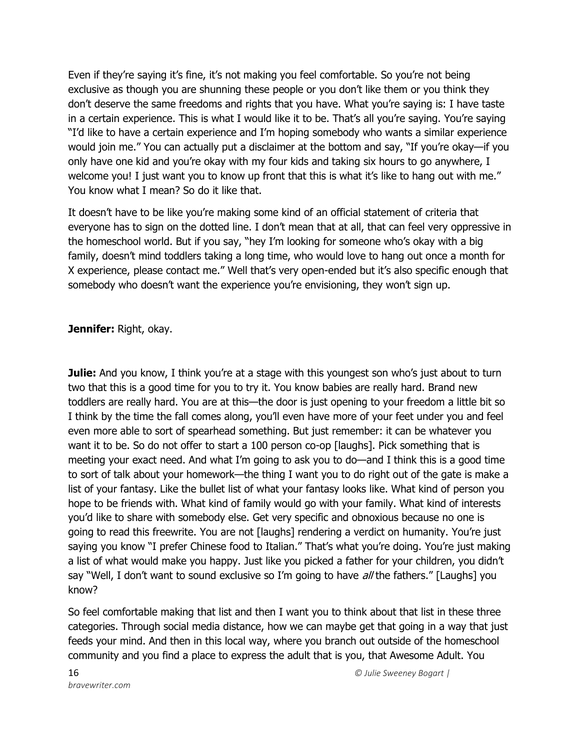Even if they're saying it's fine, it's not making you feel comfortable. So you're not being exclusive as though you are shunning these people or you don't like them or you think they don't deserve the same freedoms and rights that you have. What you're saying is: I have taste in a certain experience. This is what I would like it to be. That's all you're saying. You're saying "I'd like to have a certain experience and I'm hoping somebody who wants a similar experience would join me." You can actually put a disclaimer at the bottom and say, "If you're okay—if you only have one kid and you're okay with my four kids and taking six hours to go anywhere, I welcome you! I just want you to know up front that this is what it's like to hang out with me." You know what I mean? So do it like that.

It doesn't have to be like you're making some kind of an official statement of criteria that everyone has to sign on the dotted line. I don't mean that at all, that can feel very oppressive in the homeschool world. But if you say, "hey I'm looking for someone who's okay with a big family, doesn't mind toddlers taking a long time, who would love to hang out once a month for X experience, please contact me." Well that's very open-ended but it's also specific enough that somebody who doesn't want the experience you're envisioning, they won't sign up.

## **Jennifer:** Right, okay.

**Julie:** And you know, I think you're at a stage with this youngest son who's just about to turn two that this is a good time for you to try it. You know babies are really hard. Brand new toddlers are really hard. You are at this—the door is just opening to your freedom a little bit so I think by the time the fall comes along, you'll even have more of your feet under you and feel even more able to sort of spearhead something. But just remember: it can be whatever you want it to be. So do not offer to start a 100 person co-op [laughs]. Pick something that is meeting your exact need. And what I'm going to ask you to do—and I think this is a good time to sort of talk about your homework—the thing I want you to do right out of the gate is make a list of your fantasy. Like the bullet list of what your fantasy looks like. What kind of person you hope to be friends with. What kind of family would go with your family. What kind of interests you'd like to share with somebody else. Get very specific and obnoxious because no one is going to read this freewrite. You are not [laughs] rendering a verdict on humanity. You're just saying you know "I prefer Chinese food to Italian." That's what you're doing. You're just making a list of what would make you happy. Just like you picked a father for your children, you didn't say "Well, I don't want to sound exclusive so I'm going to have  $al$  the fathers." [Laughs] you know?

So feel comfortable making that list and then I want you to think about that list in these three categories. Through social media distance, how we can maybe get that going in a way that just feeds your mind. And then in this local way, where you branch out outside of the homeschool community and you find a place to express the adult that is you, that Awesome Adult. You

16 *© Julie Sweeney Bogart |*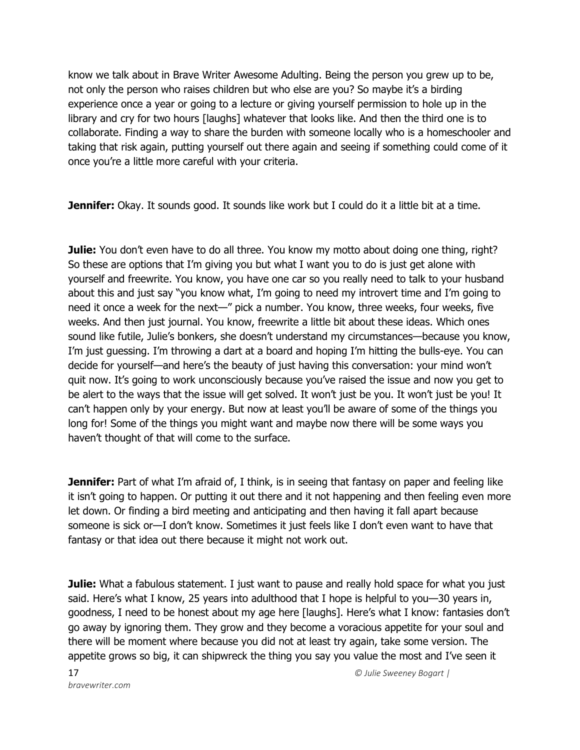know we talk about in Brave Writer Awesome Adulting. Being the person you grew up to be, not only the person who raises children but who else are you? So maybe it's a birding experience once a year or going to a lecture or giving yourself permission to hole up in the library and cry for two hours [laughs] whatever that looks like. And then the third one is to collaborate. Finding a way to share the burden with someone locally who is a homeschooler and taking that risk again, putting yourself out there again and seeing if something could come of it once you're a little more careful with your criteria.

**Jennifer:** Okay. It sounds good. It sounds like work but I could do it a little bit at a time.

**Julie:** You don't even have to do all three. You know my motto about doing one thing, right? So these are options that I'm giving you but what I want you to do is just get alone with yourself and freewrite. You know, you have one car so you really need to talk to your husband about this and just say "you know what, I'm going to need my introvert time and I'm going to need it once a week for the next—" pick a number. You know, three weeks, four weeks, five weeks. And then just journal. You know, freewrite a little bit about these ideas. Which ones sound like futile, Julie's bonkers, she doesn't understand my circumstances—because you know, I'm just guessing. I'm throwing a dart at a board and hoping I'm hitting the bulls-eye. You can decide for yourself—and here's the beauty of just having this conversation: your mind won't quit now. It's going to work unconsciously because you've raised the issue and now you get to be alert to the ways that the issue will get solved. It won't just be you. It won't just be you! It can't happen only by your energy. But now at least you'll be aware of some of the things you long for! Some of the things you might want and maybe now there will be some ways you haven't thought of that will come to the surface.

**Jennifer:** Part of what I'm afraid of, I think, is in seeing that fantasy on paper and feeling like it isn't going to happen. Or putting it out there and it not happening and then feeling even more let down. Or finding a bird meeting and anticipating and then having it fall apart because someone is sick or—I don't know. Sometimes it just feels like I don't even want to have that fantasy or that idea out there because it might not work out.

**Julie:** What a fabulous statement. I just want to pause and really hold space for what you just said. Here's what I know, 25 years into adulthood that I hope is helpful to you—30 years in, goodness, I need to be honest about my age here [laughs]. Here's what I know: fantasies don't go away by ignoring them. They grow and they become a voracious appetite for your soul and there will be moment where because you did not at least try again, take some version. The appetite grows so big, it can shipwreck the thing you say you value the most and I've seen it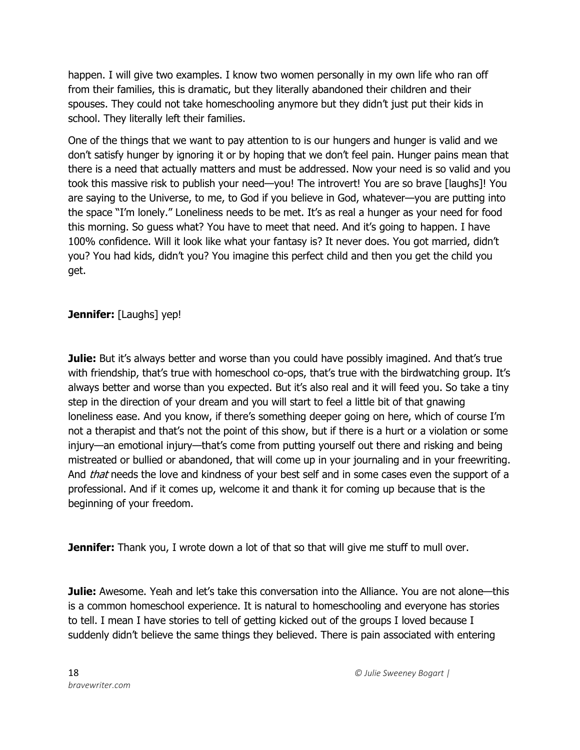happen. I will give two examples. I know two women personally in my own life who ran off from their families, this is dramatic, but they literally abandoned their children and their spouses. They could not take homeschooling anymore but they didn't just put their kids in school. They literally left their families.

One of the things that we want to pay attention to is our hungers and hunger is valid and we don't satisfy hunger by ignoring it or by hoping that we don't feel pain. Hunger pains mean that there is a need that actually matters and must be addressed. Now your need is so valid and you took this massive risk to publish your need—you! The introvert! You are so brave [laughs]! You are saying to the Universe, to me, to God if you believe in God, whatever—you are putting into the space "I'm lonely." Loneliness needs to be met. It's as real a hunger as your need for food this morning. So guess what? You have to meet that need. And it's going to happen. I have 100% confidence. Will it look like what your fantasy is? It never does. You got married, didn't you? You had kids, didn't you? You imagine this perfect child and then you get the child you get.

## **Jennifer:** [Laughs] yep!

**Julie:** But it's always better and worse than you could have possibly imagined. And that's true with friendship, that's true with homeschool co-ops, that's true with the birdwatching group. It's always better and worse than you expected. But it's also real and it will feed you. So take a tiny step in the direction of your dream and you will start to feel a little bit of that gnawing loneliness ease. And you know, if there's something deeper going on here, which of course I'm not a therapist and that's not the point of this show, but if there is a hurt or a violation or some injury—an emotional injury—that's come from putting yourself out there and risking and being mistreated or bullied or abandoned, that will come up in your journaling and in your freewriting. And *that* needs the love and kindness of your best self and in some cases even the support of a professional. And if it comes up, welcome it and thank it for coming up because that is the beginning of your freedom.

**Jennifer:** Thank you, I wrote down a lot of that so that will give me stuff to mull over.

**Julie:** Awesome. Yeah and let's take this conversation into the Alliance. You are not alone—this is a common homeschool experience. It is natural to homeschooling and everyone has stories to tell. I mean I have stories to tell of getting kicked out of the groups I loved because I suddenly didn't believe the same things they believed. There is pain associated with entering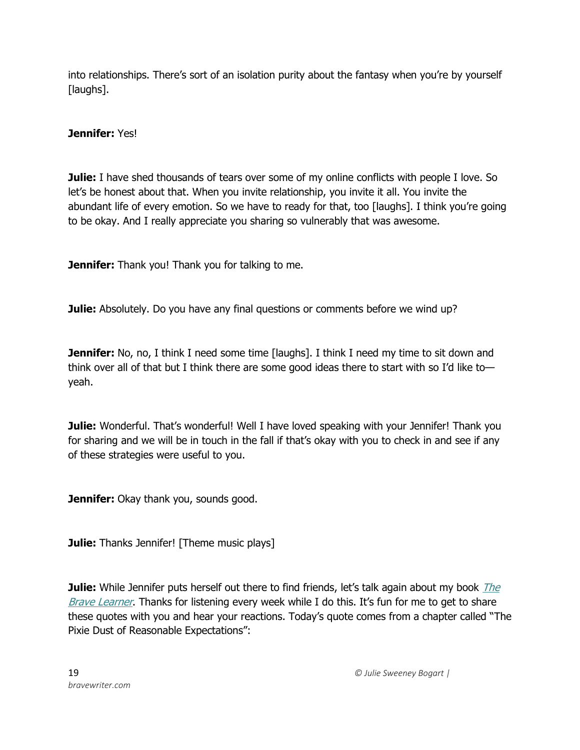into relationships. There's sort of an isolation purity about the fantasy when you're by yourself [laughs].

**Jennifer:** Yes!

**Julie:** I have shed thousands of tears over some of my online conflicts with people I love. So let's be honest about that. When you invite relationship, you invite it all. You invite the abundant life of every emotion. So we have to ready for that, too [laughs]. I think you're going to be okay. And I really appreciate you sharing so vulnerably that was awesome.

**Jennifer:** Thank you! Thank you for talking to me.

**Julie:** Absolutely. Do you have any final questions or comments before we wind up?

**Jennifer:** No, no, I think I need some time [laughs]. I think I need my time to sit down and think over all of that but I think there are some good ideas there to start with so I'd like to yeah.

**Julie:** Wonderful. That's wonderful! Well I have loved speaking with your Jennifer! Thank you for sharing and we will be in touch in the fall if that's okay with you to check in and see if any of these strategies were useful to you.

**Jennifer:** Okay thank you, sounds good.

**Julie:** Thanks Jennifer! [Theme music plays]

**Julie:** While Jennifer puts herself out there to find friends, let's talk again about my book *The* [Brave Learner](https://thebravelearner.com/). Thanks for listening every week while I do this. It's fun for me to get to share these quotes with you and hear your reactions. Today's quote comes from a chapter called "The Pixie Dust of Reasonable Expectations":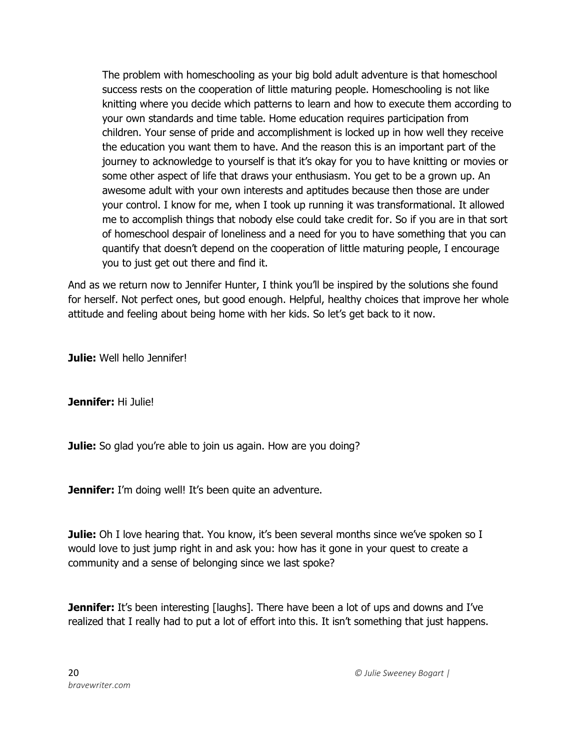The problem with homeschooling as your big bold adult adventure is that homeschool success rests on the cooperation of little maturing people. Homeschooling is not like knitting where you decide which patterns to learn and how to execute them according to your own standards and time table. Home education requires participation from children. Your sense of pride and accomplishment is locked up in how well they receive the education you want them to have. And the reason this is an important part of the journey to acknowledge to yourself is that it's okay for you to have knitting or movies or some other aspect of life that draws your enthusiasm. You get to be a grown up. An awesome adult with your own interests and aptitudes because then those are under your control. I know for me, when I took up running it was transformational. It allowed me to accomplish things that nobody else could take credit for. So if you are in that sort of homeschool despair of loneliness and a need for you to have something that you can quantify that doesn't depend on the cooperation of little maturing people, I encourage you to just get out there and find it.

And as we return now to Jennifer Hunter, I think you'll be inspired by the solutions she found for herself. Not perfect ones, but good enough. Helpful, healthy choices that improve her whole attitude and feeling about being home with her kids. So let's get back to it now.

**Julie:** Well hello Jennifer!

**Jennifer:** Hi Julie!

**Julie:** So glad you're able to join us again. How are you doing?

**Jennifer:** I'm doing well! It's been quite an adventure.

**Julie:** Oh I love hearing that. You know, it's been several months since we've spoken so I would love to just jump right in and ask you: how has it gone in your quest to create a community and a sense of belonging since we last spoke?

**Jennifer:** It's been interesting [laughs]. There have been a lot of ups and downs and I've realized that I really had to put a lot of effort into this. It isn't something that just happens.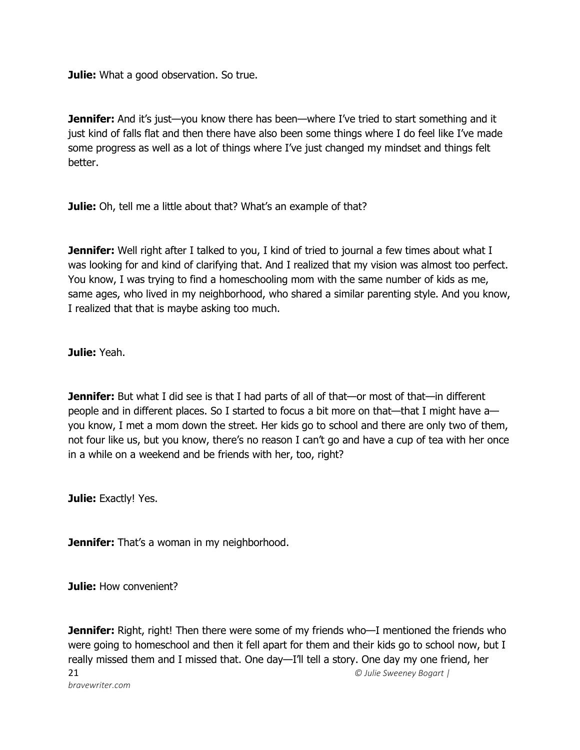**Julie:** What a good observation. So true.

**Jennifer:** And it's just—you know there has been—where I've tried to start something and it just kind of falls flat and then there have also been some things where I do feel like I've made some progress as well as a lot of things where I've just changed my mindset and things felt better.

Julie: Oh, tell me a little about that? What's an example of that?

**Jennifer:** Well right after I talked to you, I kind of tried to journal a few times about what I was looking for and kind of clarifying that. And I realized that my vision was almost too perfect. You know, I was trying to find a homeschooling mom with the same number of kids as me, same ages, who lived in my neighborhood, who shared a similar parenting style. And you know, I realized that that is maybe asking too much.

**Julie:** Yeah.

**Jennifer:** But what I did see is that I had parts of all of that—or most of that—in different people and in different places. So I started to focus a bit more on that—that I might have a you know, I met a mom down the street. Her kids go to school and there are only two of them, not four like us, but you know, there's no reason I can't go and have a cup of tea with her once in a while on a weekend and be friends with her, too, right?

**Julie: Exactly! Yes.** 

**Jennifer:** That's a woman in my neighborhood.

**Julie:** How convenient?

21 *© Julie Sweeney Bogart | bravewriter.com* **Jennifer:** Right, right! Then there were some of my friends who—I mentioned the friends who were going to homeschool and then it fell apart for them and their kids go to school now, but I really missed them and I missed that. One day—I'll tell a story. One day my one friend, her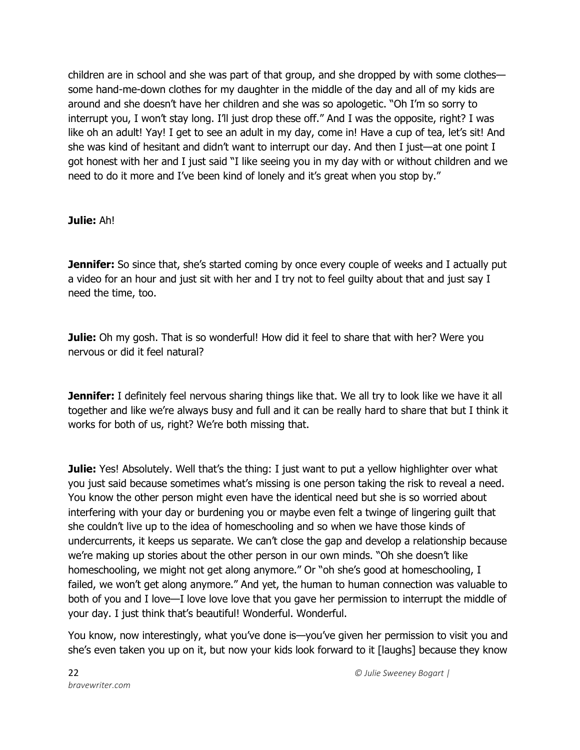children are in school and she was part of that group, and she dropped by with some clothes some hand-me-down clothes for my daughter in the middle of the day and all of my kids are around and she doesn't have her children and she was so apologetic. "Oh I'm so sorry to interrupt you, I won't stay long. I'll just drop these off." And I was the opposite, right? I was like oh an adult! Yay! I get to see an adult in my day, come in! Have a cup of tea, let's sit! And she was kind of hesitant and didn't want to interrupt our day. And then I just—at one point I got honest with her and I just said "I like seeing you in my day with or without children and we need to do it more and I've been kind of lonely and it's great when you stop by."

## **Julie:** Ah!

**Jennifer:** So since that, she's started coming by once every couple of weeks and I actually put a video for an hour and just sit with her and I try not to feel guilty about that and just say I need the time, too.

**Julie:** Oh my gosh. That is so wonderful! How did it feel to share that with her? Were you nervous or did it feel natural?

**Jennifer:** I definitely feel nervous sharing things like that. We all try to look like we have it all together and like we're always busy and full and it can be really hard to share that but I think it works for both of us, right? We're both missing that.

**Julie:** Yes! Absolutely. Well that's the thing: I just want to put a yellow highlighter over what you just said because sometimes what's missing is one person taking the risk to reveal a need. You know the other person might even have the identical need but she is so worried about interfering with your day or burdening you or maybe even felt a twinge of lingering guilt that she couldn't live up to the idea of homeschooling and so when we have those kinds of undercurrents, it keeps us separate. We can't close the gap and develop a relationship because we're making up stories about the other person in our own minds. "Oh she doesn't like homeschooling, we might not get along anymore." Or "oh she's good at homeschooling, I failed, we won't get along anymore." And yet, the human to human connection was valuable to both of you and I love—I love love love that you gave her permission to interrupt the middle of your day. I just think that's beautiful! Wonderful. Wonderful.

You know, now interestingly, what you've done is—you've given her permission to visit you and she's even taken you up on it, but now your kids look forward to it [laughs] because they know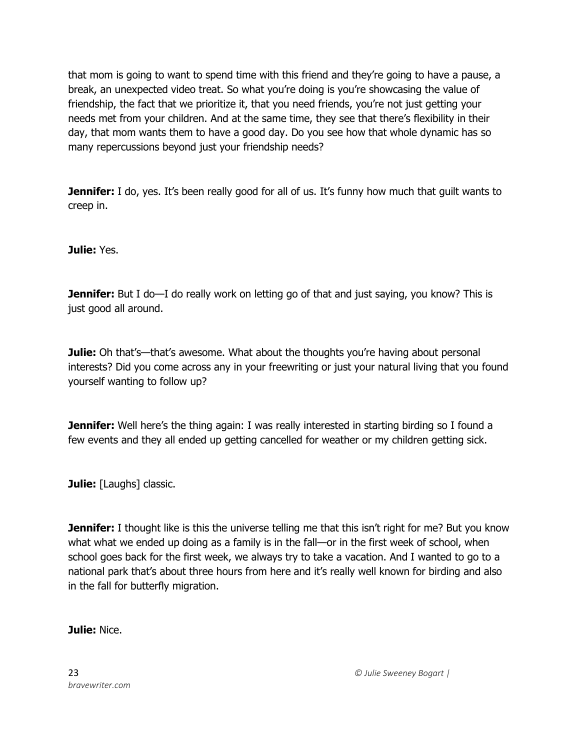that mom is going to want to spend time with this friend and they're going to have a pause, a break, an unexpected video treat. So what you're doing is you're showcasing the value of friendship, the fact that we prioritize it, that you need friends, you're not just getting your needs met from your children. And at the same time, they see that there's flexibility in their day, that mom wants them to have a good day. Do you see how that whole dynamic has so many repercussions beyond just your friendship needs?

**Jennifer:** I do, yes. It's been really good for all of us. It's funny how much that guilt wants to creep in.

**Julie:** Yes.

**Jennifer:** But I do—I do really work on letting go of that and just saying, you know? This is just good all around.

**Julie:** Oh that's—that's awesome. What about the thoughts you're having about personal interests? Did you come across any in your freewriting or just your natural living that you found yourself wanting to follow up?

**Jennifer:** Well here's the thing again: I was really interested in starting birding so I found a few events and they all ended up getting cancelled for weather or my children getting sick.

**Julie:** [Laughs] classic.

**Jennifer:** I thought like is this the universe telling me that this isn't right for me? But you know what what we ended up doing as a family is in the fall—or in the first week of school, when school goes back for the first week, we always try to take a vacation. And I wanted to go to a national park that's about three hours from here and it's really well known for birding and also in the fall for butterfly migration.

### **Julie:** Nice.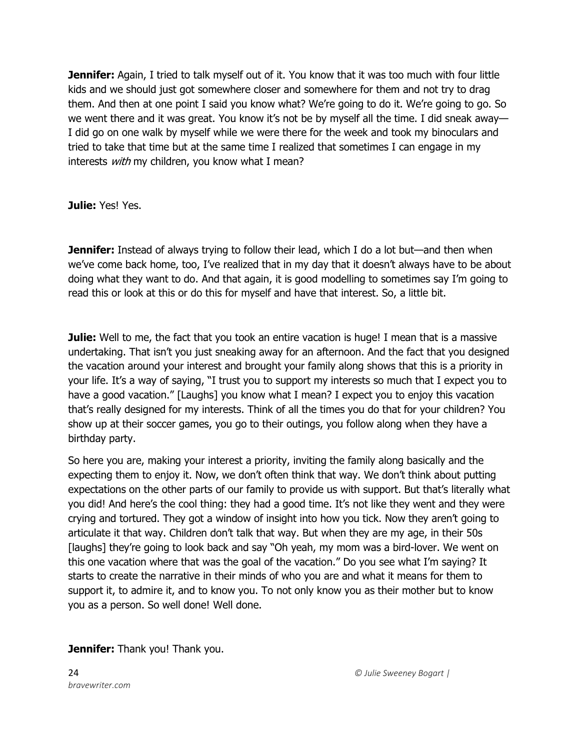**Jennifer:** Again, I tried to talk myself out of it. You know that it was too much with four little kids and we should just got somewhere closer and somewhere for them and not try to drag them. And then at one point I said you know what? We're going to do it. We're going to go. So we went there and it was great. You know it's not be by myself all the time. I did sneak away— I did go on one walk by myself while we were there for the week and took my binoculars and tried to take that time but at the same time I realized that sometimes I can engage in my interests with my children, you know what I mean?

**Julie:** Yes! Yes.

**Jennifer:** Instead of always trying to follow their lead, which I do a lot but—and then when we've come back home, too, I've realized that in my day that it doesn't always have to be about doing what they want to do. And that again, it is good modelling to sometimes say I'm going to read this or look at this or do this for myself and have that interest. So, a little bit.

**Julie:** Well to me, the fact that you took an entire vacation is huge! I mean that is a massive undertaking. That isn't you just sneaking away for an afternoon. And the fact that you designed the vacation around your interest and brought your family along shows that this is a priority in your life. It's a way of saying, "I trust you to support my interests so much that I expect you to have a good vacation." [Laughs] you know what I mean? I expect you to enjoy this vacation that's really designed for my interests. Think of all the times you do that for your children? You show up at their soccer games, you go to their outings, you follow along when they have a birthday party.

So here you are, making your interest a priority, inviting the family along basically and the expecting them to enjoy it. Now, we don't often think that way. We don't think about putting expectations on the other parts of our family to provide us with support. But that's literally what you did! And here's the cool thing: they had a good time. It's not like they went and they were crying and tortured. They got a window of insight into how you tick. Now they aren't going to articulate it that way. Children don't talk that way. But when they are my age, in their 50s [laughs] they're going to look back and say "Oh yeah, my mom was a bird-lover. We went on this one vacation where that was the goal of the vacation." Do you see what I'm saying? It starts to create the narrative in their minds of who you are and what it means for them to support it, to admire it, and to know you. To not only know you as their mother but to know you as a person. So well done! Well done.

**Jennifer:** Thank you! Thank you.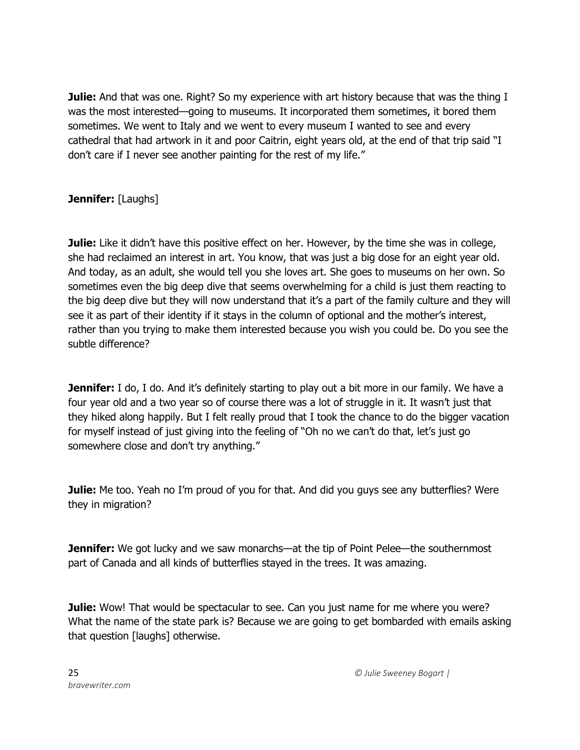**Julie:** And that was one. Right? So my experience with art history because that was the thing I was the most interested—going to museums. It incorporated them sometimes, it bored them sometimes. We went to Italy and we went to every museum I wanted to see and every cathedral that had artwork in it and poor Caitrin, eight years old, at the end of that trip said "I don't care if I never see another painting for the rest of my life."

# **Jennifer:** [Laughs]

**Julie:** Like it didn't have this positive effect on her. However, by the time she was in college, she had reclaimed an interest in art. You know, that was just a big dose for an eight year old. And today, as an adult, she would tell you she loves art. She goes to museums on her own. So sometimes even the big deep dive that seems overwhelming for a child is just them reacting to the big deep dive but they will now understand that it's a part of the family culture and they will see it as part of their identity if it stays in the column of optional and the mother's interest, rather than you trying to make them interested because you wish you could be. Do you see the subtle difference?

**Jennifer:** I do, I do. And it's definitely starting to play out a bit more in our family. We have a four year old and a two year so of course there was a lot of struggle in it. It wasn't just that they hiked along happily. But I felt really proud that I took the chance to do the bigger vacation for myself instead of just giving into the feeling of "Oh no we can't do that, let's just go somewhere close and don't try anything."

**Julie:** Me too. Yeah no I'm proud of you for that. And did you guys see any butterflies? Were they in migration?

**Jennifer:** We got lucky and we saw monarchs—at the tip of Point Pelee—the southernmost part of Canada and all kinds of butterflies stayed in the trees. It was amazing.

**Julie:** Wow! That would be spectacular to see. Can you just name for me where you were? What the name of the state park is? Because we are going to get bombarded with emails asking that question [laughs] otherwise.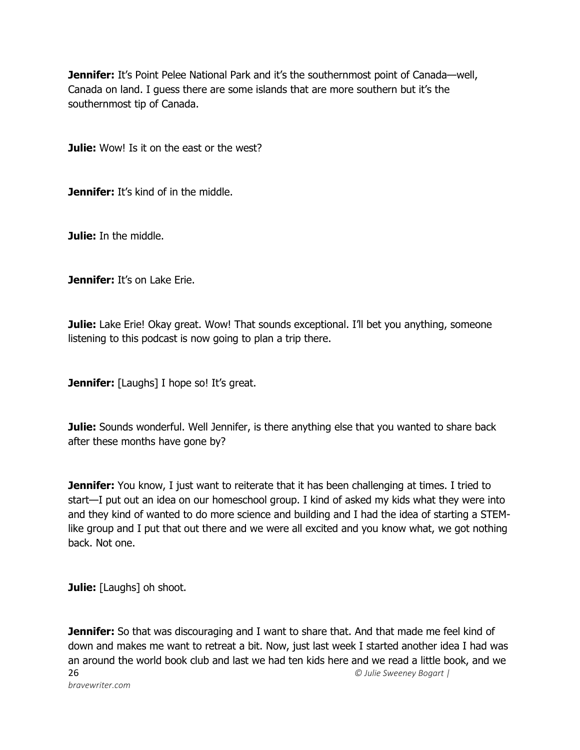**Jennifer:** It's Point Pelee National Park and it's the southernmost point of Canada—well, Canada on land. I guess there are some islands that are more southern but it's the southernmost tip of Canada.

**Julie:** Wow! Is it on the east or the west?

**Jennifer:** It's kind of in the middle.

**Julie:** In the middle.

**Jennifer:** It's on Lake Erie.

**Julie:** Lake Erie! Okay great. Wow! That sounds exceptional. I'll bet you anything, someone listening to this podcast is now going to plan a trip there.

**Jennifer:** [Laughs] I hope so! It's great.

**Julie:** Sounds wonderful. Well Jennifer, is there anything else that you wanted to share back after these months have gone by?

**Jennifer:** You know, I just want to reiterate that it has been challenging at times. I tried to start—I put out an idea on our homeschool group. I kind of asked my kids what they were into and they kind of wanted to do more science and building and I had the idea of starting a STEMlike group and I put that out there and we were all excited and you know what, we got nothing back. Not one.

**Julie:** [Laughs] oh shoot.

26 *© Julie Sweeney Bogart | bravewriter.com* **Jennifer:** So that was discouraging and I want to share that. And that made me feel kind of down and makes me want to retreat a bit. Now, just last week I started another idea I had was an around the world book club and last we had ten kids here and we read a little book, and we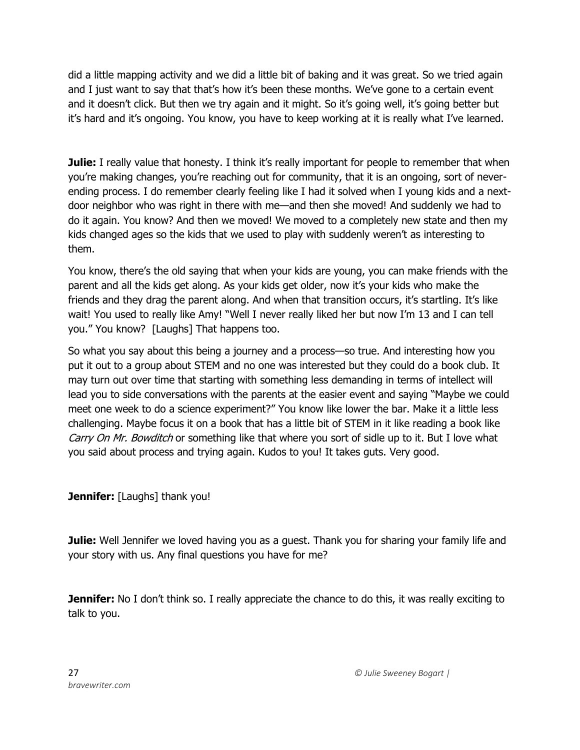did a little mapping activity and we did a little bit of baking and it was great. So we tried again and I just want to say that that's how it's been these months. We've gone to a certain event and it doesn't click. But then we try again and it might. So it's going well, it's going better but it's hard and it's ongoing. You know, you have to keep working at it is really what I've learned.

**Julie:** I really value that honesty. I think it's really important for people to remember that when you're making changes, you're reaching out for community, that it is an ongoing, sort of neverending process. I do remember clearly feeling like I had it solved when I young kids and a nextdoor neighbor who was right in there with me—and then she moved! And suddenly we had to do it again. You know? And then we moved! We moved to a completely new state and then my kids changed ages so the kids that we used to play with suddenly weren't as interesting to them.

You know, there's the old saying that when your kids are young, you can make friends with the parent and all the kids get along. As your kids get older, now it's your kids who make the friends and they drag the parent along. And when that transition occurs, it's startling. It's like wait! You used to really like Amy! "Well I never really liked her but now I'm 13 and I can tell you." You know? [Laughs] That happens too.

So what you say about this being a journey and a process—so true. And interesting how you put it out to a group about STEM and no one was interested but they could do a book club. It may turn out over time that starting with something less demanding in terms of intellect will lead you to side conversations with the parents at the easier event and saying "Maybe we could meet one week to do a science experiment?" You know like lower the bar. Make it a little less challenging. Maybe focus it on a book that has a little bit of STEM in it like reading a book like Carry On Mr. Bowditch or something like that where you sort of sidle up to it. But I love what you said about process and trying again. Kudos to you! It takes guts. Very good.

**Jennifer:** [Laughs] thank you!

**Julie:** Well Jennifer we loved having you as a guest. Thank you for sharing your family life and your story with us. Any final questions you have for me?

**Jennifer:** No I don't think so. I really appreciate the chance to do this, it was really exciting to talk to you.